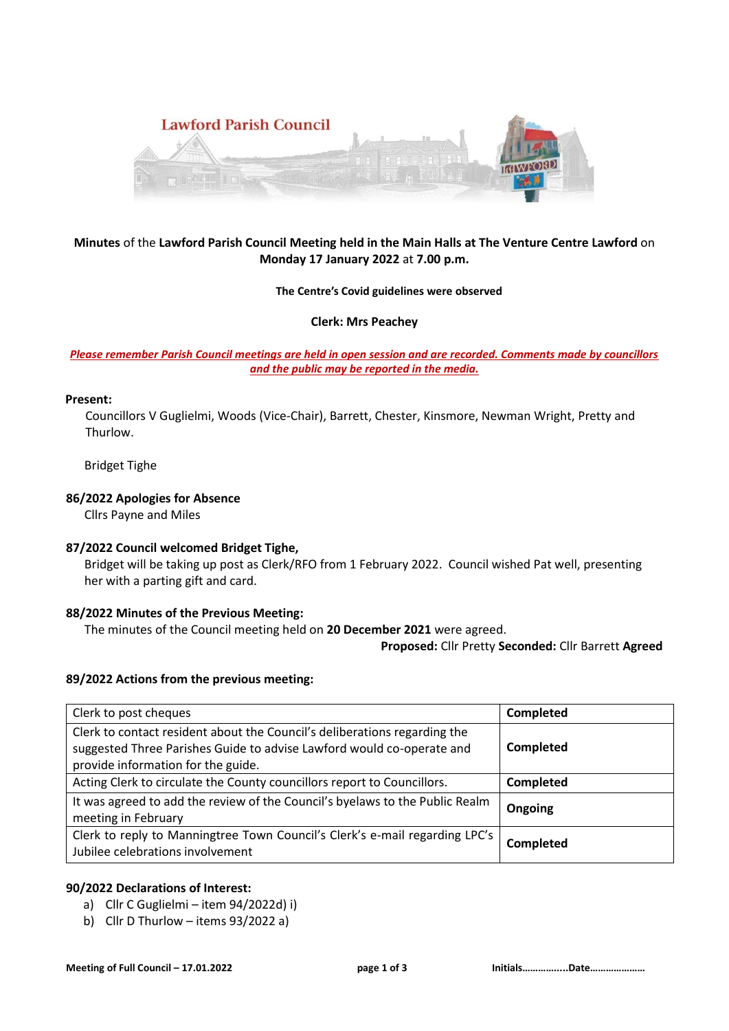

# **Minutes** of the **Lawford Parish Council Meeting held in the Main Halls at The Venture Centre Lawford** on **Monday 17 January 2022** at **7.00 p.m.**

### **The Centre's Covid guidelines were observed**

### **Clerk: Mrs Peachey**

## *Please remember Parish Council meetings are held in open session and are recorded. Comments made by councillors and the public may be reported in the media.*

### **Present:**

 Councillors V Guglielmi, Woods (Vice-Chair), Barrett, Chester, Kinsmore, Newman Wright, Pretty and Thurlow.

Bridget Tighe

### **86/2022 Apologies for Absence**

Cllrs Payne and Miles

## **87/2022 Council welcomed Bridget Tighe,**

 Bridget will be taking up post as Clerk/RFO from 1 February 2022. Council wished Pat well, presenting her with a parting gift and card.

## **88/2022 Minutes of the Previous Meeting:**

The minutes of the Council meeting held on **20 December 2021** were agreed.

**Proposed:** Cllr Pretty **Seconded:** Cllr Barrett **Agreed**

#### **89/2022 Actions from the previous meeting:**

| Clerk to post cheques                                                                                                                                                                    | <b>Completed</b> |
|------------------------------------------------------------------------------------------------------------------------------------------------------------------------------------------|------------------|
| Clerk to contact resident about the Council's deliberations regarding the<br>suggested Three Parishes Guide to advise Lawford would co-operate and<br>provide information for the guide. | Completed        |
| Acting Clerk to circulate the County councillors report to Councillors.                                                                                                                  | Completed        |
| It was agreed to add the review of the Council's byelaws to the Public Realm<br>meeting in February                                                                                      | Ongoing          |
| Clerk to reply to Manningtree Town Council's Clerk's e-mail regarding LPC's<br>Jubilee celebrations involvement                                                                          | <b>Completed</b> |

#### **90/2022 Declarations of Interest:**

- a) Cllr C Guglielmi item 94/2022d) i)
- b) Cllr D Thurlow items 93/2022 a)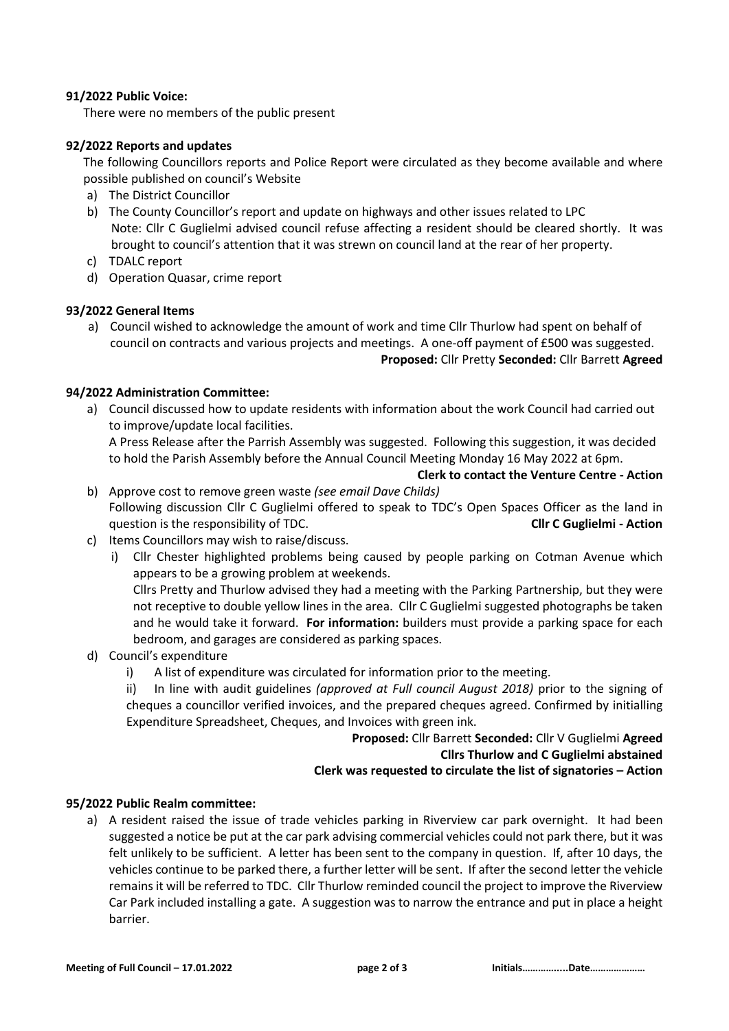## **91/2022 Public Voice:**

There were no members of the public present

# **92/2022 Reports and updates**

The following Councillors reports and Police Report were circulated as they become available and where possible published on council's Website

- a) The District Councillor
- b) The County Councillor's report and update on highways and other issues related to LPC Note: Cllr C Guglielmi advised council refuse affecting a resident should be cleared shortly. It was brought to council's attention that it was strewn on council land at the rear of her property.
- c) TDALC report
- d) Operation Quasar, crime report

# **93/2022 General Items**

a) Council wished to acknowledge the amount of work and time Cllr Thurlow had spent on behalf of council on contracts and various projects and meetings. A one-off payment of £500 was suggested.

### **Proposed:** Cllr Pretty **Seconded:** Cllr Barrett **Agreed**

# **94/2022 Administration Committee:**

a) Council discussed how to update residents with information about the work Council had carried out to improve/update local facilities.

A Press Release after the Parrish Assembly was suggested. Following this suggestion, it was decided to hold the Parish Assembly before the Annual Council Meeting Monday 16 May 2022 at 6pm.

**Clerk to contact the Venture Centre - Action**

- b) Approve cost to remove green waste *(see email Dave Childs)* Following discussion Cllr C Guglielmi offered to speak to TDC's Open Spaces Officer as the land in question is the responsibility of TDC. **Cllr C Guglielmi - Action**
- c) Items Councillors may wish to raise/discuss.
	- i) Cllr Chester highlighted problems being caused by people parking on Cotman Avenue which appears to be a growing problem at weekends.

Cllrs Pretty and Thurlow advised they had a meeting with the Parking Partnership, but they were not receptive to double yellow lines in the area. Cllr C Guglielmi suggested photographs be taken and he would take it forward. **For information:** builders must provide a parking space for each bedroom, and garages are considered as parking spaces.

- d) Council's expenditure
	- i) A list of expenditure was circulated for information prior to the meeting.
	- ii) In line with audit guidelines *(approved at Full council August 2018)* prior to the signing of cheques a councillor verified invoices, and the prepared cheques agreed. Confirmed by initialling Expenditure Spreadsheet, Cheques, and Invoices with green ink.

## **Proposed:** Cllr Barrett **Seconded:** Cllr V Guglielmi **Agreed Cllrs Thurlow and C Guglielmi abstained Clerk was requested to circulate the list of signatories – Action**

# **95/2022 Public Realm committee:**

a) A resident raised the issue of trade vehicles parking in Riverview car park overnight. It had been suggested a notice be put at the car park advising commercial vehicles could not park there, but it was felt unlikely to be sufficient. A letter has been sent to the company in question. If, after 10 days, the vehicles continue to be parked there, a further letter will be sent. If after the second letter the vehicle remains it will be referred to TDC. Cllr Thurlow reminded council the project to improve the Riverview Car Park included installing a gate. A suggestion was to narrow the entrance and put in place a height barrier.